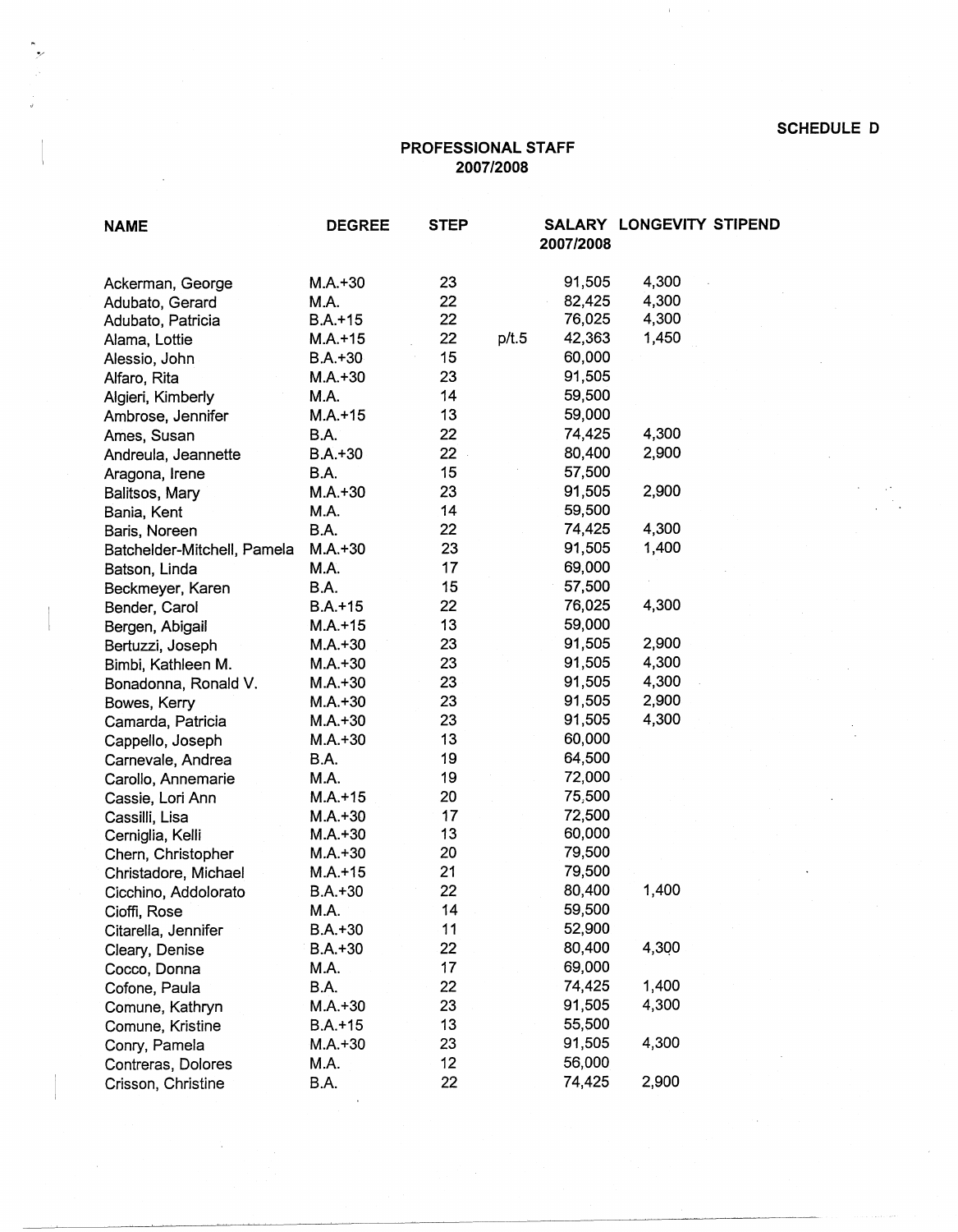**SCHEDULE D** 

## **PROFESSIONAL STAFF 2007/2008**

| <b>NAME</b>                 | <b>DEGREE</b> | <b>STEP</b> |       | 2007/2008 | SALARY LONGEVITY STIPEND |  |
|-----------------------------|---------------|-------------|-------|-----------|--------------------------|--|
| Ackerman, George            | $M.A.+30$     | 23          |       | 91,505    | 4,300                    |  |
| Adubato, Gerard             | M.A.          | 22          |       | 82,425    | 4,300                    |  |
| Adubato, Patricia           | $B.A. + 15$   | 22          |       | 76,025    | 4,300                    |  |
| Alama, Lottie               | $M.A. + 15$   | 22          | p/t.5 | 42,363    | 1,450                    |  |
| Alessio, John               | $B.A + 30$    | 15          |       | 60,000    |                          |  |
| Alfaro, Rita                | $M.A. + 30$   | 23          |       | 91,505    |                          |  |
| Algieri, Kimberly           | M.A.          | 14          |       | 59,500    |                          |  |
| Ambrose, Jennifer           | $M.A. + 15$   | 13          |       | 59,000    |                          |  |
| Ames, Susan                 | B.A.          | 22          |       | 74,425    | 4,300                    |  |
| Andreula, Jeannette         | $B.A.+30$     | 22          |       | 80,400    | 2,900                    |  |
| Aragona, Irene              | B.A.          | 15          |       | 57,500    |                          |  |
| Balitsos, Mary              | $M.A. + 30$   | 23          |       | 91,505    | 2,900                    |  |
| Bania, Kent                 | M.A.          | 14          |       | 59,500    |                          |  |
| Baris, Noreen               | B.A.          | 22          |       | 74,425    | 4,300                    |  |
| Batchelder-Mitchell, Pamela | $M.A.+30$     | 23          |       | 91,505    | 1,400                    |  |
| Batson, Linda               | M.A.          | 17          |       | 69,000    |                          |  |
| Beckmeyer, Karen            | B.A.          | 15          |       | 57,500    |                          |  |
| Bender, Carol               | $B.A.+15$     | 22          |       | 76,025    | 4,300                    |  |
| Bergen, Abigail             | $M.A.+15$     | 13          |       | 59,000    |                          |  |
| Bertuzzi, Joseph            | $M.A.+30$     | 23          |       | 91,505    | 2,900                    |  |
| Bimbi, Kathleen M.          | $M.A.+30$     | 23          |       | 91,505    | 4,300                    |  |
| Bonadonna, Ronald V.        | $M.A.+30$     | 23          |       | 91,505    | 4,300                    |  |
| Bowes, Kerry                | $M.A.+30$     | 23          |       | 91,505    | 2,900                    |  |
| Camarda, Patricia           | $M.A.+30$     | 23          |       | 91,505    | 4,300                    |  |
| Cappello, Joseph            | $M.A.+30$     | 13          |       | 60,000    |                          |  |
| Carnevale, Andrea           | <b>B.A.</b>   | 19          |       | 64,500    |                          |  |
| Carollo, Annemarie          | M.A.          | 19          |       | 72,000    |                          |  |
| Cassie, Lori Ann            | $M.A. + 15$   | 20          |       | 75,500    |                          |  |
| Cassilli, Lisa              | $M.A.+30$     | 17          |       | 72,500    |                          |  |
| Cerniglia, Kelli            | $M.A.+30$     | 13          |       | 60,000    |                          |  |
| Chern, Christopher          | $M.A.+30$     | 20          |       | 79,500    |                          |  |
| Christadore, Michael        | $M.A. + 15$   | 21          |       | 79,500    |                          |  |
| Cicchino, Addolorato        | $B.A. + 30$   | 22          |       | 80,400    | 1,400                    |  |
| Cioffi, Rose                | M.A.          | 14          |       | 59,500    |                          |  |
| Citarella, Jennifer         | $B.A.+30$     | 11          |       | 52,900    |                          |  |
| Cleary, Denise              | $B.A.+30$     | 22          |       | 80,400    | 4,300                    |  |
| Cocco, Donna                | M.A.          | 17          |       | 69,000    |                          |  |
| Cofone, Paula               | B.A.          | 22          |       | 74,425    | 1,400                    |  |
| Comune, Kathryn             | $M.A.+30$     | 23          |       | 91,505    | 4,300                    |  |
| Comune, Kristine            | $B.A.+15$     | 13          |       | 55,500    |                          |  |
| Conry, Pamela               | $M.A.+30$     | 23          |       | 91,505    | 4,300                    |  |
| Contreras, Dolores          | M.A.          | 12          |       | 56,000    |                          |  |
| Crisson, Christine          | B.A.          | 22          |       | 74,425    | 2,900                    |  |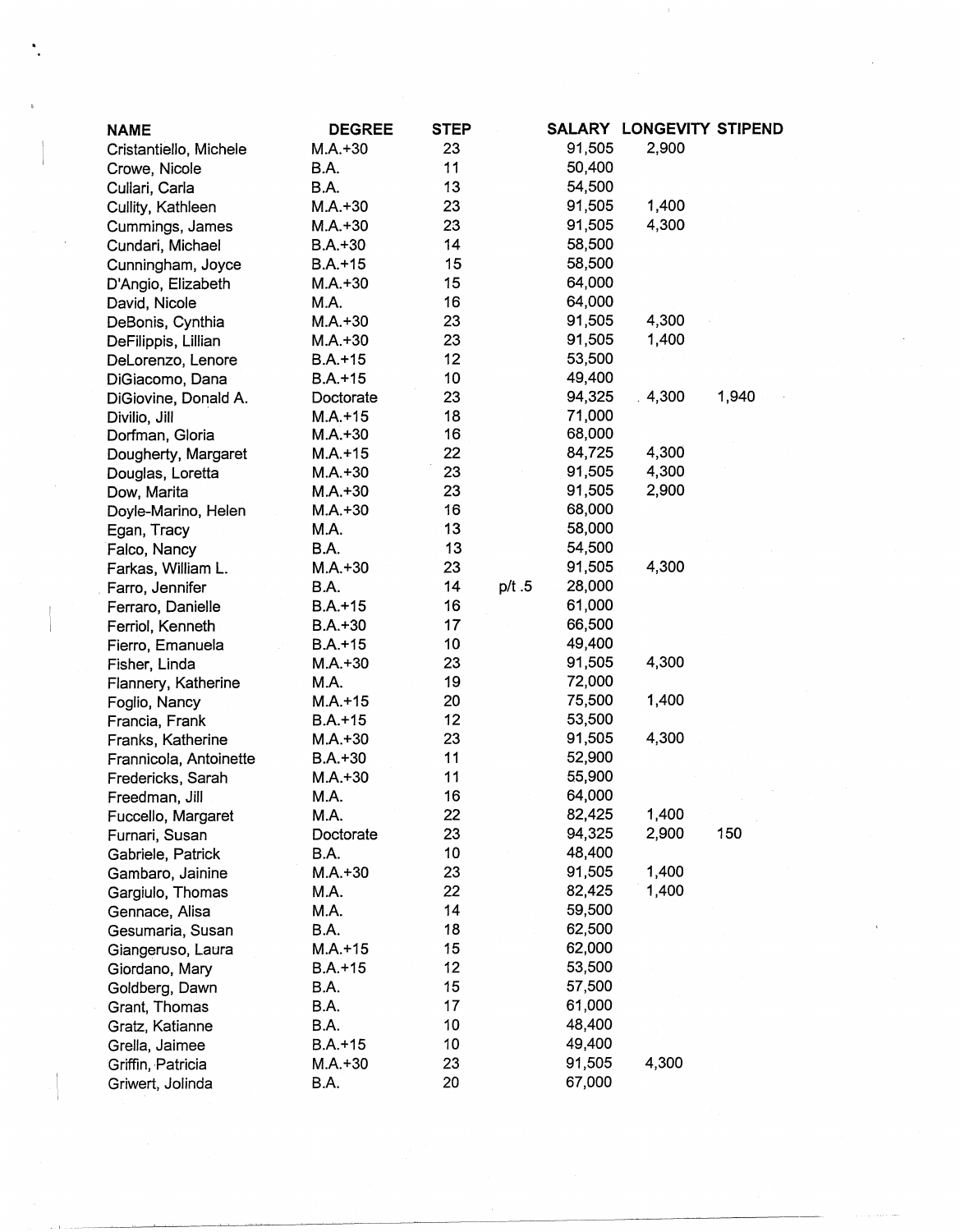| <b>NAME</b>            | <b>DEGREE</b> | <b>STEP</b> |        |        | SALARY LONGEVITY STIPEND |       |
|------------------------|---------------|-------------|--------|--------|--------------------------|-------|
| Cristantiello, Michele | $M.A.+30$     | 23          |        | 91,505 | 2,900                    |       |
| Crowe, Nicole          | B.A.          | 11          |        | 50,400 |                          |       |
| Cullari, Carla         | B.A.          | 13          |        | 54,500 |                          |       |
| Cullity, Kathleen      | $M.A.+30$     | 23          |        | 91,505 | 1,400                    |       |
| Cummings, James        | $M.A.+30$     | 23          |        | 91,505 | 4,300                    |       |
| Cundari, Michael       | $B.A.+30$     | 14          |        | 58,500 |                          |       |
| Cunningham, Joyce      | $B.A.+15$     | 15          |        | 58,500 |                          |       |
| D'Angio, Elizabeth     | $M.A.+30$     | 15          |        | 64,000 |                          |       |
| David, Nicole          | M.A.          | 16          |        | 64,000 |                          |       |
| DeBonis, Cynthia       | $M.A.+30$     | 23          |        | 91,505 | 4,300                    |       |
| DeFilippis, Lillian    | $M.A.+30$     | 23          |        | 91,505 | 1,400                    |       |
| DeLorenzo, Lenore      | $B.A.+15$     | 12          |        | 53,500 |                          |       |
| DiGiacomo, Dana        | $B.A.+15$     | 10          |        | 49,400 |                          |       |
| DiGiovine, Donald A.   | Doctorate     | 23          |        | 94,325 | 4,300                    | 1,940 |
| Divilio, Jill          | $M.A. + 15$   | 18          |        | 71,000 |                          |       |
| Dorfman, Gloria        | $M.A.+30$     | 16          |        | 68,000 |                          |       |
| Dougherty, Margaret    | $M.A. + 15$   | 22          |        | 84,725 | 4,300                    |       |
| Douglas, Loretta       | $M.A. + 30$   | 23          |        | 91,505 | 4,300                    |       |
| Dow, Marita            | $M.A.+30$     | 23          |        | 91,505 | 2,900                    |       |
| Doyle-Marino, Helen    | $M.A. + 30$   | 16          |        | 68,000 |                          |       |
| Egan, Tracy            | M.A.          | 13          |        | 58,000 |                          |       |
| Falco, Nancy           | B.A.          | 13          |        | 54,500 |                          |       |
| Farkas, William L.     | $M.A. + 30$   | 23          |        | 91,505 | 4,300                    |       |
| Farro, Jennifer        | B.A.          | 14          | p/t .5 | 28,000 |                          |       |
| Ferraro, Danielle      | $B.A.+15$     | 16          |        | 61,000 |                          |       |
| Ferriol, Kenneth       | $B.A.+30$     | 17          |        | 66,500 |                          |       |
| Fierro, Emanuela       | $B.A.+15$     | 10          |        | 49,400 |                          |       |
| Fisher, Linda          | $M.A.+30$     | 23          |        | 91,505 | 4,300                    |       |
| Flannery, Katherine    | M.A.          | 19          |        | 72,000 |                          |       |
| Foglio, Nancy          | $M.A.+15$     | 20          |        | 75,500 | 1,400                    |       |
| Francia, Frank         | $B.A.+15$     | 12          |        | 53,500 |                          |       |
| Franks, Katherine      | $M.A.+30$     | 23          |        | 91,505 | 4,300                    |       |
| Frannicola, Antoinette | $B.A.+30$     | 11          |        | 52,900 |                          |       |
| Fredericks, Sarah      | $M.A.+30$     | 11          |        | 55,900 |                          |       |
| Freedman, Jill         | M.A.          | 16          |        | 64,000 |                          |       |
| Fuccello, Margaret     | M.A.          | 22          |        | 82,425 | 1,400                    |       |
| Furnari, Susan         | Doctorate     | 23          |        | 94,325 | 2,900                    | 150   |
| Gabriele, Patrick      | B.A.          | 10          |        | 48,400 |                          |       |
| Gambaro, Jainine       | $M.A.+30$     | 23          |        | 91,505 | 1,400                    |       |
| Gargiulo, Thomas       | M.A.          | 22          |        | 82,425 | 1,400                    |       |
| Gennace, Alisa         | M.A.          | 14          |        | 59,500 |                          |       |
| Gesumaria, Susan       | B.A.          | 18          |        | 62,500 |                          |       |
| Giangeruso, Laura      | $M.A.+15$     | 15          |        | 62,000 |                          |       |
| Giordano, Mary         | $B.A.+15$     | 12          |        | 53,500 |                          |       |
| Goldberg, Dawn         | B.A.          | 15          |        | 57,500 |                          |       |
| Grant, Thomas          | B.A.          | 17          |        | 61,000 |                          |       |
| Gratz, Katianne        | B.A.          | 10          |        | 48,400 |                          |       |
| Grella, Jaimee         | $B.A.+15$     | 10          |        | 49,400 |                          |       |
| Griffin, Patricia      | $M.A.+30$     | 23          |        | 91,505 | 4,300                    |       |
| Griwert, Jolinda       | B.A.          | 20          |        | 67,000 |                          |       |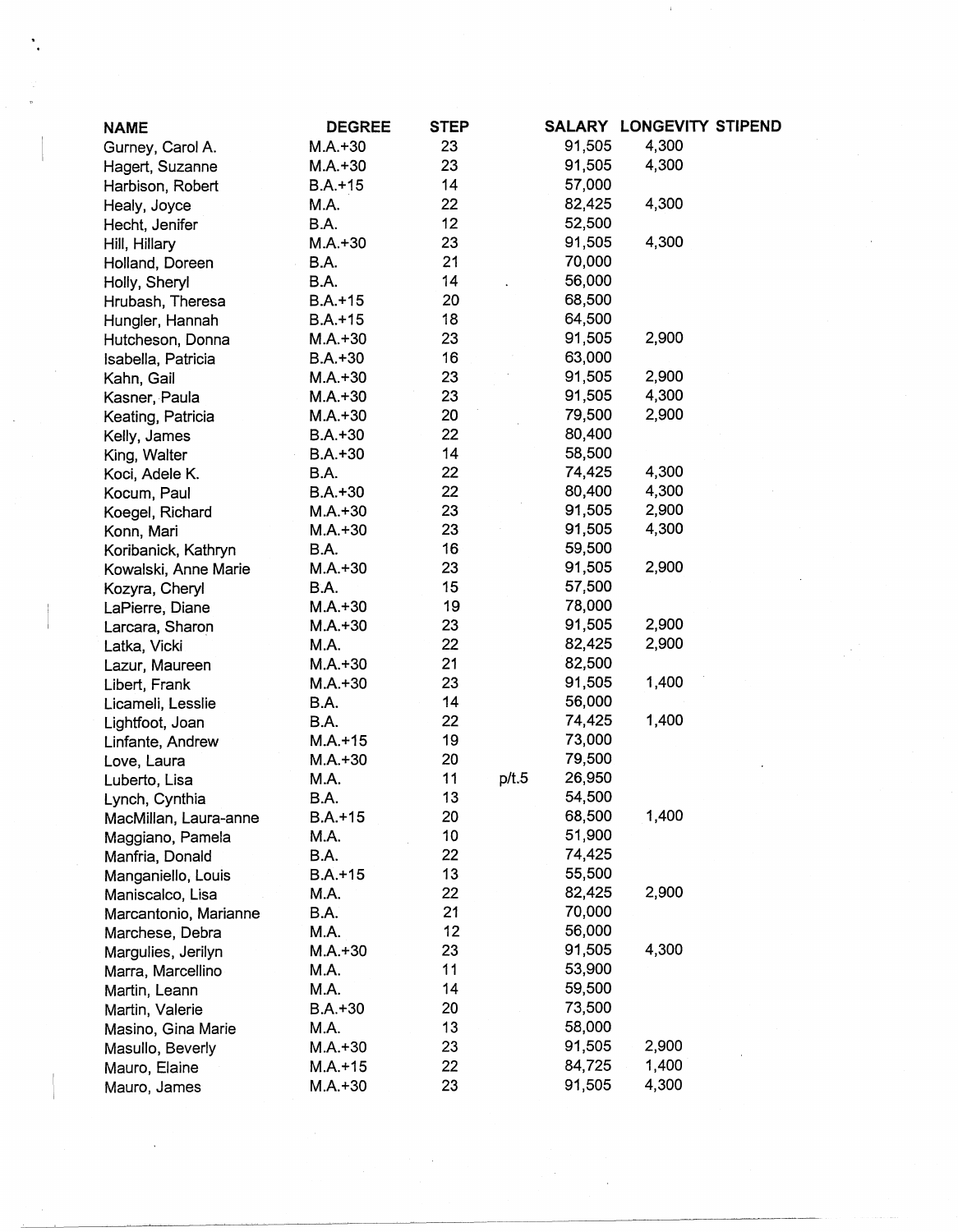| 4,300<br>91,505<br>$M.A.+30$<br>23<br>Gurney, Carol A.<br>4,300<br>23<br>91,505<br>$M.A.+30$<br>Hagert, Suzanne<br>$B.A.+15$<br>14<br>57,000<br>Harbison, Robert<br>4,300<br>22<br>82,425<br>M.A.<br>Healy, Joyce<br>12<br>52,500<br>B.A.<br>Hecht, Jenifer<br>91,505<br>4,300<br>23<br>$M.A. + 30$<br>Hill, Hillary<br>70,000<br>21<br><b>B.A.</b><br>Holland, Doreen<br>14<br>56,000<br><b>B.A.</b><br>Holly, Sheryl<br>68,500<br>20<br>$B.A.+15$<br>Hrubash, Theresa<br>64,500<br>18<br>$B.A.+15$<br>Hungler, Hannah<br>91,505<br>2,900<br>23<br>$M.A.+30$<br>Hutcheson, Donna<br>63,000<br>16<br>$B.A.+30$<br>Isabella, Patricia<br>91,505<br>2,900<br>23<br>$M.A.+30$<br>Kahn, Gail<br>4,300<br>23<br>91,505<br>$M.A.+30$<br>Kasner, Paula<br>2,900<br>20<br>79,500<br>$M.A.+30$<br>Keating, Patricia<br>80,400<br>22<br>$B.A.+30$<br>Kelly, James<br>58,500<br>14<br>$B.A.+30$<br>King, Walter<br>4,300<br>22<br>74,425<br>B.A.<br>Koci, Adele K.<br>80,400<br>4,300<br>22<br>$B.A.+30$<br>Kocum, Paul<br>91,505<br>2,900<br>23<br>$M.A.+30$<br>Koegel, Richard<br>4,300<br>91,505<br>23<br>$M.A.+30$<br>Konn, Mari<br>16<br>59,500<br>B.A.<br>Koribanick, Kathryn<br>91,505<br>2,900<br>23<br>$M.A. + 30$<br>Kowalski, Anne Marie<br>57,500<br>15<br>B.A.<br>Kozyra, Cheryl<br>78,000<br>19<br>$M.A.+30$<br>LaPierre, Diane<br>91,505<br>2,900<br>23<br>$M.A.+30$<br>Larcara, Sharon<br>82,425<br>2,900<br>22<br>M.A.<br>Latka, Vicki<br>82,500<br>21<br>$M.A.+30$<br>Lazur, Maureen<br>91,505<br>1,400<br>23<br>$M.A.+30$<br>Libert, Frank<br>56,000<br>14<br>B.A.<br>Licameli, Lesslie<br>1,400<br>22<br>74,425<br>B.A.<br>Lightfoot, Joan<br>73,000<br>19<br>$M.A.+15$<br>Linfante, Andrew<br>79,500<br>20<br>$M.A.+30$<br>Love, Laura<br>26,950<br>11<br>p/t.5<br>M.A.<br>Luberto, Lisa<br>13<br>54,500<br>B.A.<br>Lynch, Cynthia<br>68,500<br>1,400<br>$B.A.+15$<br>20<br>MacMillan, Laura-anne<br>51,900<br>10<br>M.A.<br>Maggiano, Pamela<br>74,425<br>22<br><b>B.A.</b><br>Manfria, Donald<br>55,500<br>13<br>$B.A.+15$<br>Manganiello, Louis<br>82,425<br>2,900<br>M.A.<br>22<br>Maniscalco, Lisa<br>70,000<br>21<br>B.A.<br>Marcantonio, Marianne<br>56,000<br>12<br>M.A.<br>Marchese, Debra<br>91,505<br>4,300<br>23<br>$M.A. + 30$<br>Margulies, Jerilyn<br>11<br>53,900<br>M.A.<br>Marra, Marcellino<br>59,500<br>M.A.<br>14<br>Martin, Leann<br>73,500<br>$B.A.+30$<br>20<br>Martin, Valerie<br>58,000<br>13<br>M.A.<br>Masino, Gina Marie<br>91,505<br>2,900<br>23<br>Masullo, Beverly<br>$M.A.+30$<br>1,400<br>84,725<br>22<br>$M.A. + 15$<br>Mauro, Elaine | <b>NAME</b> | <b>DEGREE</b> | <b>STEP</b> |        | SALARY LONGEVITY STIPEND |  |
|------------------------------------------------------------------------------------------------------------------------------------------------------------------------------------------------------------------------------------------------------------------------------------------------------------------------------------------------------------------------------------------------------------------------------------------------------------------------------------------------------------------------------------------------------------------------------------------------------------------------------------------------------------------------------------------------------------------------------------------------------------------------------------------------------------------------------------------------------------------------------------------------------------------------------------------------------------------------------------------------------------------------------------------------------------------------------------------------------------------------------------------------------------------------------------------------------------------------------------------------------------------------------------------------------------------------------------------------------------------------------------------------------------------------------------------------------------------------------------------------------------------------------------------------------------------------------------------------------------------------------------------------------------------------------------------------------------------------------------------------------------------------------------------------------------------------------------------------------------------------------------------------------------------------------------------------------------------------------------------------------------------------------------------------------------------------------------------------------------------------------------------------------------------------------------------------------------------------------------------------------------------------------------------------------------------------------------------------------------------------------------------------------------------------------------------------------------------------------------------------------------------------------------------------------------------------------------|-------------|---------------|-------------|--------|--------------------------|--|
|                                                                                                                                                                                                                                                                                                                                                                                                                                                                                                                                                                                                                                                                                                                                                                                                                                                                                                                                                                                                                                                                                                                                                                                                                                                                                                                                                                                                                                                                                                                                                                                                                                                                                                                                                                                                                                                                                                                                                                                                                                                                                                                                                                                                                                                                                                                                                                                                                                                                                                                                                                                    |             |               |             |        |                          |  |
|                                                                                                                                                                                                                                                                                                                                                                                                                                                                                                                                                                                                                                                                                                                                                                                                                                                                                                                                                                                                                                                                                                                                                                                                                                                                                                                                                                                                                                                                                                                                                                                                                                                                                                                                                                                                                                                                                                                                                                                                                                                                                                                                                                                                                                                                                                                                                                                                                                                                                                                                                                                    |             |               |             |        |                          |  |
|                                                                                                                                                                                                                                                                                                                                                                                                                                                                                                                                                                                                                                                                                                                                                                                                                                                                                                                                                                                                                                                                                                                                                                                                                                                                                                                                                                                                                                                                                                                                                                                                                                                                                                                                                                                                                                                                                                                                                                                                                                                                                                                                                                                                                                                                                                                                                                                                                                                                                                                                                                                    |             |               |             |        |                          |  |
|                                                                                                                                                                                                                                                                                                                                                                                                                                                                                                                                                                                                                                                                                                                                                                                                                                                                                                                                                                                                                                                                                                                                                                                                                                                                                                                                                                                                                                                                                                                                                                                                                                                                                                                                                                                                                                                                                                                                                                                                                                                                                                                                                                                                                                                                                                                                                                                                                                                                                                                                                                                    |             |               |             |        |                          |  |
|                                                                                                                                                                                                                                                                                                                                                                                                                                                                                                                                                                                                                                                                                                                                                                                                                                                                                                                                                                                                                                                                                                                                                                                                                                                                                                                                                                                                                                                                                                                                                                                                                                                                                                                                                                                                                                                                                                                                                                                                                                                                                                                                                                                                                                                                                                                                                                                                                                                                                                                                                                                    |             |               |             |        |                          |  |
|                                                                                                                                                                                                                                                                                                                                                                                                                                                                                                                                                                                                                                                                                                                                                                                                                                                                                                                                                                                                                                                                                                                                                                                                                                                                                                                                                                                                                                                                                                                                                                                                                                                                                                                                                                                                                                                                                                                                                                                                                                                                                                                                                                                                                                                                                                                                                                                                                                                                                                                                                                                    |             |               |             |        |                          |  |
|                                                                                                                                                                                                                                                                                                                                                                                                                                                                                                                                                                                                                                                                                                                                                                                                                                                                                                                                                                                                                                                                                                                                                                                                                                                                                                                                                                                                                                                                                                                                                                                                                                                                                                                                                                                                                                                                                                                                                                                                                                                                                                                                                                                                                                                                                                                                                                                                                                                                                                                                                                                    |             |               |             |        |                          |  |
|                                                                                                                                                                                                                                                                                                                                                                                                                                                                                                                                                                                                                                                                                                                                                                                                                                                                                                                                                                                                                                                                                                                                                                                                                                                                                                                                                                                                                                                                                                                                                                                                                                                                                                                                                                                                                                                                                                                                                                                                                                                                                                                                                                                                                                                                                                                                                                                                                                                                                                                                                                                    |             |               |             |        |                          |  |
|                                                                                                                                                                                                                                                                                                                                                                                                                                                                                                                                                                                                                                                                                                                                                                                                                                                                                                                                                                                                                                                                                                                                                                                                                                                                                                                                                                                                                                                                                                                                                                                                                                                                                                                                                                                                                                                                                                                                                                                                                                                                                                                                                                                                                                                                                                                                                                                                                                                                                                                                                                                    |             |               |             |        |                          |  |
|                                                                                                                                                                                                                                                                                                                                                                                                                                                                                                                                                                                                                                                                                                                                                                                                                                                                                                                                                                                                                                                                                                                                                                                                                                                                                                                                                                                                                                                                                                                                                                                                                                                                                                                                                                                                                                                                                                                                                                                                                                                                                                                                                                                                                                                                                                                                                                                                                                                                                                                                                                                    |             |               |             |        |                          |  |
|                                                                                                                                                                                                                                                                                                                                                                                                                                                                                                                                                                                                                                                                                                                                                                                                                                                                                                                                                                                                                                                                                                                                                                                                                                                                                                                                                                                                                                                                                                                                                                                                                                                                                                                                                                                                                                                                                                                                                                                                                                                                                                                                                                                                                                                                                                                                                                                                                                                                                                                                                                                    |             |               |             |        |                          |  |
|                                                                                                                                                                                                                                                                                                                                                                                                                                                                                                                                                                                                                                                                                                                                                                                                                                                                                                                                                                                                                                                                                                                                                                                                                                                                                                                                                                                                                                                                                                                                                                                                                                                                                                                                                                                                                                                                                                                                                                                                                                                                                                                                                                                                                                                                                                                                                                                                                                                                                                                                                                                    |             |               |             |        |                          |  |
|                                                                                                                                                                                                                                                                                                                                                                                                                                                                                                                                                                                                                                                                                                                                                                                                                                                                                                                                                                                                                                                                                                                                                                                                                                                                                                                                                                                                                                                                                                                                                                                                                                                                                                                                                                                                                                                                                                                                                                                                                                                                                                                                                                                                                                                                                                                                                                                                                                                                                                                                                                                    |             |               |             |        |                          |  |
|                                                                                                                                                                                                                                                                                                                                                                                                                                                                                                                                                                                                                                                                                                                                                                                                                                                                                                                                                                                                                                                                                                                                                                                                                                                                                                                                                                                                                                                                                                                                                                                                                                                                                                                                                                                                                                                                                                                                                                                                                                                                                                                                                                                                                                                                                                                                                                                                                                                                                                                                                                                    |             |               |             |        |                          |  |
|                                                                                                                                                                                                                                                                                                                                                                                                                                                                                                                                                                                                                                                                                                                                                                                                                                                                                                                                                                                                                                                                                                                                                                                                                                                                                                                                                                                                                                                                                                                                                                                                                                                                                                                                                                                                                                                                                                                                                                                                                                                                                                                                                                                                                                                                                                                                                                                                                                                                                                                                                                                    |             |               |             |        |                          |  |
|                                                                                                                                                                                                                                                                                                                                                                                                                                                                                                                                                                                                                                                                                                                                                                                                                                                                                                                                                                                                                                                                                                                                                                                                                                                                                                                                                                                                                                                                                                                                                                                                                                                                                                                                                                                                                                                                                                                                                                                                                                                                                                                                                                                                                                                                                                                                                                                                                                                                                                                                                                                    |             |               |             |        |                          |  |
|                                                                                                                                                                                                                                                                                                                                                                                                                                                                                                                                                                                                                                                                                                                                                                                                                                                                                                                                                                                                                                                                                                                                                                                                                                                                                                                                                                                                                                                                                                                                                                                                                                                                                                                                                                                                                                                                                                                                                                                                                                                                                                                                                                                                                                                                                                                                                                                                                                                                                                                                                                                    |             |               |             |        |                          |  |
|                                                                                                                                                                                                                                                                                                                                                                                                                                                                                                                                                                                                                                                                                                                                                                                                                                                                                                                                                                                                                                                                                                                                                                                                                                                                                                                                                                                                                                                                                                                                                                                                                                                                                                                                                                                                                                                                                                                                                                                                                                                                                                                                                                                                                                                                                                                                                                                                                                                                                                                                                                                    |             |               |             |        |                          |  |
|                                                                                                                                                                                                                                                                                                                                                                                                                                                                                                                                                                                                                                                                                                                                                                                                                                                                                                                                                                                                                                                                                                                                                                                                                                                                                                                                                                                                                                                                                                                                                                                                                                                                                                                                                                                                                                                                                                                                                                                                                                                                                                                                                                                                                                                                                                                                                                                                                                                                                                                                                                                    |             |               |             |        |                          |  |
|                                                                                                                                                                                                                                                                                                                                                                                                                                                                                                                                                                                                                                                                                                                                                                                                                                                                                                                                                                                                                                                                                                                                                                                                                                                                                                                                                                                                                                                                                                                                                                                                                                                                                                                                                                                                                                                                                                                                                                                                                                                                                                                                                                                                                                                                                                                                                                                                                                                                                                                                                                                    |             |               |             |        |                          |  |
|                                                                                                                                                                                                                                                                                                                                                                                                                                                                                                                                                                                                                                                                                                                                                                                                                                                                                                                                                                                                                                                                                                                                                                                                                                                                                                                                                                                                                                                                                                                                                                                                                                                                                                                                                                                                                                                                                                                                                                                                                                                                                                                                                                                                                                                                                                                                                                                                                                                                                                                                                                                    |             |               |             |        |                          |  |
|                                                                                                                                                                                                                                                                                                                                                                                                                                                                                                                                                                                                                                                                                                                                                                                                                                                                                                                                                                                                                                                                                                                                                                                                                                                                                                                                                                                                                                                                                                                                                                                                                                                                                                                                                                                                                                                                                                                                                                                                                                                                                                                                                                                                                                                                                                                                                                                                                                                                                                                                                                                    |             |               |             |        |                          |  |
|                                                                                                                                                                                                                                                                                                                                                                                                                                                                                                                                                                                                                                                                                                                                                                                                                                                                                                                                                                                                                                                                                                                                                                                                                                                                                                                                                                                                                                                                                                                                                                                                                                                                                                                                                                                                                                                                                                                                                                                                                                                                                                                                                                                                                                                                                                                                                                                                                                                                                                                                                                                    |             |               |             |        |                          |  |
|                                                                                                                                                                                                                                                                                                                                                                                                                                                                                                                                                                                                                                                                                                                                                                                                                                                                                                                                                                                                                                                                                                                                                                                                                                                                                                                                                                                                                                                                                                                                                                                                                                                                                                                                                                                                                                                                                                                                                                                                                                                                                                                                                                                                                                                                                                                                                                                                                                                                                                                                                                                    |             |               |             |        |                          |  |
|                                                                                                                                                                                                                                                                                                                                                                                                                                                                                                                                                                                                                                                                                                                                                                                                                                                                                                                                                                                                                                                                                                                                                                                                                                                                                                                                                                                                                                                                                                                                                                                                                                                                                                                                                                                                                                                                                                                                                                                                                                                                                                                                                                                                                                                                                                                                                                                                                                                                                                                                                                                    |             |               |             |        |                          |  |
|                                                                                                                                                                                                                                                                                                                                                                                                                                                                                                                                                                                                                                                                                                                                                                                                                                                                                                                                                                                                                                                                                                                                                                                                                                                                                                                                                                                                                                                                                                                                                                                                                                                                                                                                                                                                                                                                                                                                                                                                                                                                                                                                                                                                                                                                                                                                                                                                                                                                                                                                                                                    |             |               |             |        |                          |  |
|                                                                                                                                                                                                                                                                                                                                                                                                                                                                                                                                                                                                                                                                                                                                                                                                                                                                                                                                                                                                                                                                                                                                                                                                                                                                                                                                                                                                                                                                                                                                                                                                                                                                                                                                                                                                                                                                                                                                                                                                                                                                                                                                                                                                                                                                                                                                                                                                                                                                                                                                                                                    |             |               |             |        |                          |  |
|                                                                                                                                                                                                                                                                                                                                                                                                                                                                                                                                                                                                                                                                                                                                                                                                                                                                                                                                                                                                                                                                                                                                                                                                                                                                                                                                                                                                                                                                                                                                                                                                                                                                                                                                                                                                                                                                                                                                                                                                                                                                                                                                                                                                                                                                                                                                                                                                                                                                                                                                                                                    |             |               |             |        |                          |  |
|                                                                                                                                                                                                                                                                                                                                                                                                                                                                                                                                                                                                                                                                                                                                                                                                                                                                                                                                                                                                                                                                                                                                                                                                                                                                                                                                                                                                                                                                                                                                                                                                                                                                                                                                                                                                                                                                                                                                                                                                                                                                                                                                                                                                                                                                                                                                                                                                                                                                                                                                                                                    |             |               |             |        |                          |  |
|                                                                                                                                                                                                                                                                                                                                                                                                                                                                                                                                                                                                                                                                                                                                                                                                                                                                                                                                                                                                                                                                                                                                                                                                                                                                                                                                                                                                                                                                                                                                                                                                                                                                                                                                                                                                                                                                                                                                                                                                                                                                                                                                                                                                                                                                                                                                                                                                                                                                                                                                                                                    |             |               |             |        |                          |  |
|                                                                                                                                                                                                                                                                                                                                                                                                                                                                                                                                                                                                                                                                                                                                                                                                                                                                                                                                                                                                                                                                                                                                                                                                                                                                                                                                                                                                                                                                                                                                                                                                                                                                                                                                                                                                                                                                                                                                                                                                                                                                                                                                                                                                                                                                                                                                                                                                                                                                                                                                                                                    |             |               |             |        |                          |  |
|                                                                                                                                                                                                                                                                                                                                                                                                                                                                                                                                                                                                                                                                                                                                                                                                                                                                                                                                                                                                                                                                                                                                                                                                                                                                                                                                                                                                                                                                                                                                                                                                                                                                                                                                                                                                                                                                                                                                                                                                                                                                                                                                                                                                                                                                                                                                                                                                                                                                                                                                                                                    |             |               |             |        |                          |  |
|                                                                                                                                                                                                                                                                                                                                                                                                                                                                                                                                                                                                                                                                                                                                                                                                                                                                                                                                                                                                                                                                                                                                                                                                                                                                                                                                                                                                                                                                                                                                                                                                                                                                                                                                                                                                                                                                                                                                                                                                                                                                                                                                                                                                                                                                                                                                                                                                                                                                                                                                                                                    |             |               |             |        |                          |  |
|                                                                                                                                                                                                                                                                                                                                                                                                                                                                                                                                                                                                                                                                                                                                                                                                                                                                                                                                                                                                                                                                                                                                                                                                                                                                                                                                                                                                                                                                                                                                                                                                                                                                                                                                                                                                                                                                                                                                                                                                                                                                                                                                                                                                                                                                                                                                                                                                                                                                                                                                                                                    |             |               |             |        |                          |  |
|                                                                                                                                                                                                                                                                                                                                                                                                                                                                                                                                                                                                                                                                                                                                                                                                                                                                                                                                                                                                                                                                                                                                                                                                                                                                                                                                                                                                                                                                                                                                                                                                                                                                                                                                                                                                                                                                                                                                                                                                                                                                                                                                                                                                                                                                                                                                                                                                                                                                                                                                                                                    |             |               |             |        |                          |  |
|                                                                                                                                                                                                                                                                                                                                                                                                                                                                                                                                                                                                                                                                                                                                                                                                                                                                                                                                                                                                                                                                                                                                                                                                                                                                                                                                                                                                                                                                                                                                                                                                                                                                                                                                                                                                                                                                                                                                                                                                                                                                                                                                                                                                                                                                                                                                                                                                                                                                                                                                                                                    |             |               |             |        |                          |  |
|                                                                                                                                                                                                                                                                                                                                                                                                                                                                                                                                                                                                                                                                                                                                                                                                                                                                                                                                                                                                                                                                                                                                                                                                                                                                                                                                                                                                                                                                                                                                                                                                                                                                                                                                                                                                                                                                                                                                                                                                                                                                                                                                                                                                                                                                                                                                                                                                                                                                                                                                                                                    |             |               |             |        |                          |  |
|                                                                                                                                                                                                                                                                                                                                                                                                                                                                                                                                                                                                                                                                                                                                                                                                                                                                                                                                                                                                                                                                                                                                                                                                                                                                                                                                                                                                                                                                                                                                                                                                                                                                                                                                                                                                                                                                                                                                                                                                                                                                                                                                                                                                                                                                                                                                                                                                                                                                                                                                                                                    |             |               |             |        |                          |  |
|                                                                                                                                                                                                                                                                                                                                                                                                                                                                                                                                                                                                                                                                                                                                                                                                                                                                                                                                                                                                                                                                                                                                                                                                                                                                                                                                                                                                                                                                                                                                                                                                                                                                                                                                                                                                                                                                                                                                                                                                                                                                                                                                                                                                                                                                                                                                                                                                                                                                                                                                                                                    |             |               |             |        |                          |  |
|                                                                                                                                                                                                                                                                                                                                                                                                                                                                                                                                                                                                                                                                                                                                                                                                                                                                                                                                                                                                                                                                                                                                                                                                                                                                                                                                                                                                                                                                                                                                                                                                                                                                                                                                                                                                                                                                                                                                                                                                                                                                                                                                                                                                                                                                                                                                                                                                                                                                                                                                                                                    |             |               |             |        |                          |  |
|                                                                                                                                                                                                                                                                                                                                                                                                                                                                                                                                                                                                                                                                                                                                                                                                                                                                                                                                                                                                                                                                                                                                                                                                                                                                                                                                                                                                                                                                                                                                                                                                                                                                                                                                                                                                                                                                                                                                                                                                                                                                                                                                                                                                                                                                                                                                                                                                                                                                                                                                                                                    |             |               |             |        |                          |  |
|                                                                                                                                                                                                                                                                                                                                                                                                                                                                                                                                                                                                                                                                                                                                                                                                                                                                                                                                                                                                                                                                                                                                                                                                                                                                                                                                                                                                                                                                                                                                                                                                                                                                                                                                                                                                                                                                                                                                                                                                                                                                                                                                                                                                                                                                                                                                                                                                                                                                                                                                                                                    |             |               |             |        |                          |  |
|                                                                                                                                                                                                                                                                                                                                                                                                                                                                                                                                                                                                                                                                                                                                                                                                                                                                                                                                                                                                                                                                                                                                                                                                                                                                                                                                                                                                                                                                                                                                                                                                                                                                                                                                                                                                                                                                                                                                                                                                                                                                                                                                                                                                                                                                                                                                                                                                                                                                                                                                                                                    |             |               |             |        |                          |  |
|                                                                                                                                                                                                                                                                                                                                                                                                                                                                                                                                                                                                                                                                                                                                                                                                                                                                                                                                                                                                                                                                                                                                                                                                                                                                                                                                                                                                                                                                                                                                                                                                                                                                                                                                                                                                                                                                                                                                                                                                                                                                                                                                                                                                                                                                                                                                                                                                                                                                                                                                                                                    |             |               |             |        |                          |  |
|                                                                                                                                                                                                                                                                                                                                                                                                                                                                                                                                                                                                                                                                                                                                                                                                                                                                                                                                                                                                                                                                                                                                                                                                                                                                                                                                                                                                                                                                                                                                                                                                                                                                                                                                                                                                                                                                                                                                                                                                                                                                                                                                                                                                                                                                                                                                                                                                                                                                                                                                                                                    |             |               |             |        |                          |  |
|                                                                                                                                                                                                                                                                                                                                                                                                                                                                                                                                                                                                                                                                                                                                                                                                                                                                                                                                                                                                                                                                                                                                                                                                                                                                                                                                                                                                                                                                                                                                                                                                                                                                                                                                                                                                                                                                                                                                                                                                                                                                                                                                                                                                                                                                                                                                                                                                                                                                                                                                                                                    |             |               |             |        |                          |  |
|                                                                                                                                                                                                                                                                                                                                                                                                                                                                                                                                                                                                                                                                                                                                                                                                                                                                                                                                                                                                                                                                                                                                                                                                                                                                                                                                                                                                                                                                                                                                                                                                                                                                                                                                                                                                                                                                                                                                                                                                                                                                                                                                                                                                                                                                                                                                                                                                                                                                                                                                                                                    |             |               |             |        |                          |  |
|                                                                                                                                                                                                                                                                                                                                                                                                                                                                                                                                                                                                                                                                                                                                                                                                                                                                                                                                                                                                                                                                                                                                                                                                                                                                                                                                                                                                                                                                                                                                                                                                                                                                                                                                                                                                                                                                                                                                                                                                                                                                                                                                                                                                                                                                                                                                                                                                                                                                                                                                                                                    |             |               |             |        |                          |  |
|                                                                                                                                                                                                                                                                                                                                                                                                                                                                                                                                                                                                                                                                                                                                                                                                                                                                                                                                                                                                                                                                                                                                                                                                                                                                                                                                                                                                                                                                                                                                                                                                                                                                                                                                                                                                                                                                                                                                                                                                                                                                                                                                                                                                                                                                                                                                                                                                                                                                                                                                                                                    |             |               |             |        |                          |  |
| 23<br>$M.A.+30$<br>Mauro, James                                                                                                                                                                                                                                                                                                                                                                                                                                                                                                                                                                                                                                                                                                                                                                                                                                                                                                                                                                                                                                                                                                                                                                                                                                                                                                                                                                                                                                                                                                                                                                                                                                                                                                                                                                                                                                                                                                                                                                                                                                                                                                                                                                                                                                                                                                                                                                                                                                                                                                                                                    |             |               |             | 91,505 | 4,300                    |  |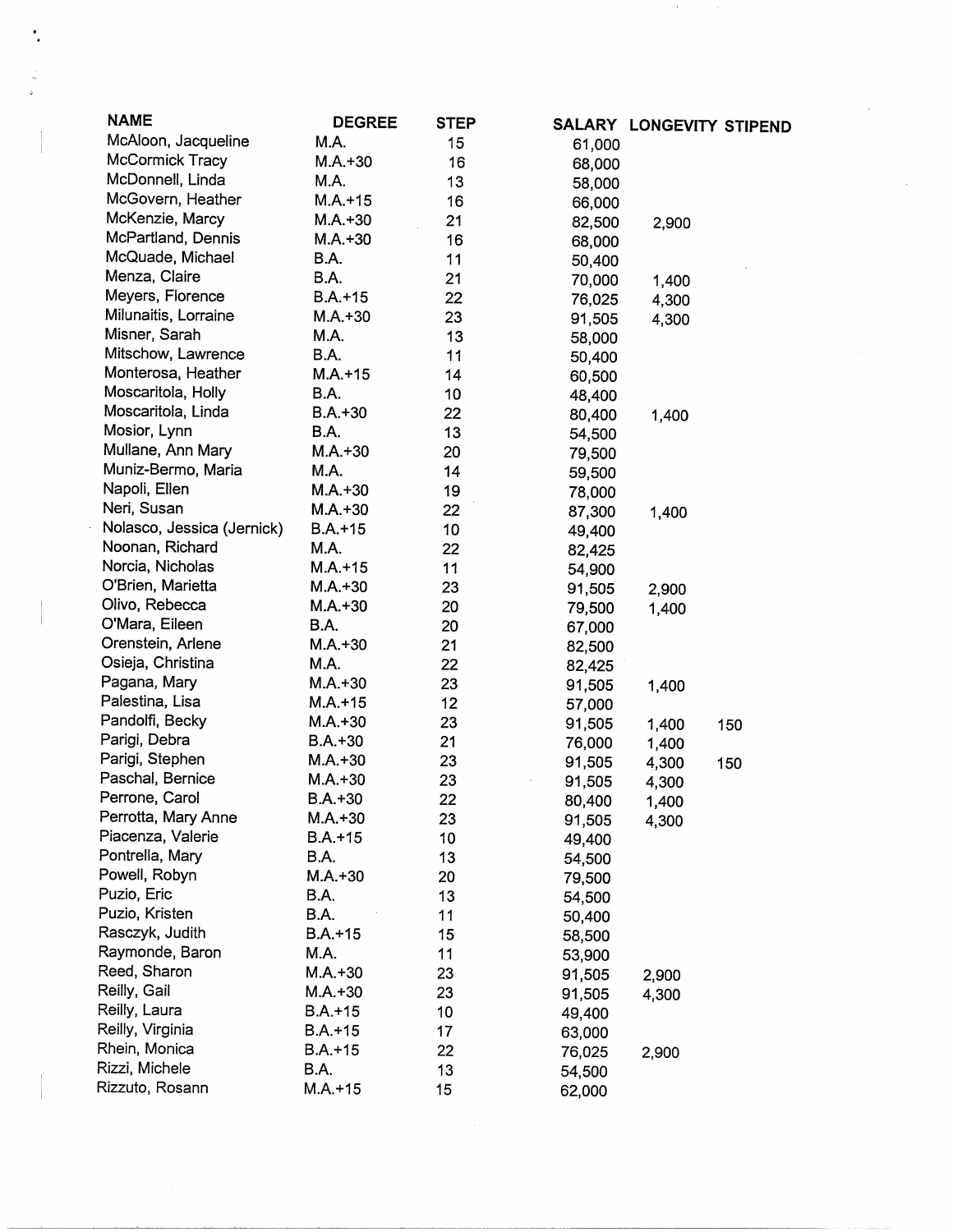| <b>NAME</b>                | <b>DEGREE</b> | <b>STEP</b>      |        | SALARY LONGEVITY STIPEND |     |
|----------------------------|---------------|------------------|--------|--------------------------|-----|
| McAloon, Jacqueline        | M.A.          | 15 <sub>15</sub> | 61,000 |                          |     |
| McCormick Tracy            | $M.A.+30$     | 16               | 68,000 |                          |     |
| McDonnell, Linda           | M.A.          | 13               | 58,000 |                          |     |
| McGovern, Heather          | $M.A.+15$     | 16               | 66,000 |                          |     |
| McKenzie, Marcy            | $M.A.+30$     | 21               | 82,500 | 2,900                    |     |
| McPartland, Dennis         | $M.A.+30$     | 16               | 68,000 |                          |     |
| McQuade, Michael           | B.A.          | 11               | 50,400 |                          |     |
| Menza, Claire              | B.A.          | 21               | 70,000 | 1,400                    |     |
| Meyers, Florence           | $B.A.+15$     | 22               | 76,025 | 4,300                    |     |
| Milunaitis, Lorraine       | $M.A.+30$     | 23               | 91,505 | 4,300                    |     |
| Misner, Sarah              | M.A.          | 13               | 58,000 |                          |     |
| Mitschow, Lawrence         | B.A.          | 11               | 50,400 |                          |     |
| Monterosa, Heather         | $M.A. + 15$   | 14               | 60,500 |                          |     |
| Moscaritola, Holly         | B.A.          | 10               | 48,400 |                          |     |
| Moscaritola, Linda         | $B.A.+30$     | 22               | 80,400 | 1,400                    |     |
| Mosior, Lynn               | B.A.          | 13               | 54,500 |                          |     |
| Mullane, Ann Mary          | $M.A.+30$     | 20               | 79,500 |                          |     |
| Muniz-Bermo, Maria         | M.A.          | 14               | 59,500 |                          |     |
| Napoli, Ellen              | $M.A. + 30$   | 19               |        |                          |     |
| Neri, Susan                | $M.A.+30$     | 22               | 78,000 |                          |     |
| Nolasco, Jessica (Jernick) | $B.A.+15$     | 10               | 87,300 | 1,400                    |     |
| Noonan, Richard            | M.A.          | 22               | 49,400 |                          |     |
| Norcia, Nicholas           | $M.A.+15$     | 11               | 82,425 |                          |     |
| O'Brien, Marietta          | $M.A.+30$     |                  | 54,900 |                          |     |
| Olivo, Rebecca             | $M.A.+30$     | 23<br>20         | 91,505 | 2,900                    |     |
| O'Mara, Eileen             | B.A.          |                  | 79,500 | 1,400                    |     |
| Orenstein, Arlene          |               | 20               | 67,000 |                          |     |
| Osieja, Christina          | $M.A.+30$     | 21               | 82,500 |                          |     |
| Pagana, Mary               | M.A.          | 22               | 82,425 |                          |     |
| Palestina, Lisa            | $M.A.+30$     | 23               | 91,505 | 1,400                    |     |
| Pandolfi, Becky            | $M.A.+15$     | 12               | 57,000 |                          |     |
|                            | $M.A.+30$     | 23               | 91,505 | 1,400                    | 150 |
| Parigi, Debra              | $B.A.+30$     | 21               | 76,000 | 1,400                    |     |
| Parigi, Stephen            | $M.A.+30$     | 23               | 91,505 | 4,300                    | 150 |
| Paschal, Bernice           | $M.A.+30$     | 23               | 91,505 | 4,300                    |     |
| Perrone, Carol             | $B.A.+30$     | 22               | 80,400 | 1,400                    |     |
| Perrotta, Mary Anne        | $M.A. + 30$   | 23               | 91,505 | 4,300                    |     |
| Piacenza, Valerie          | $B.A. + 15$   | 10               | 49,400 |                          |     |
| Pontrella, Mary            | B.A.          | 13               | 54,500 |                          |     |
| Powell, Robyn              | $M.A.+30$     | 20               | 79,500 |                          |     |
| Puzio, Eric                | B.A.          | 13               | 54,500 |                          |     |
| Puzio, Kristen             | <b>B.A.</b>   | 11               | 50,400 |                          |     |
| Rasczyk, Judith            | $B.A.+15$     | 15               | 58,500 |                          |     |
| Raymonde, Baron            | M.A.          | 11               | 53,900 |                          |     |
| Reed, Sharon               | $M.A.+30$     | 23               | 91,505 | 2,900                    |     |
| Reilly, Gail               | $M.A.+30$     | 23               | 91,505 | 4,300                    |     |
| Reilly, Laura              | $B.A.+15$     | 10               | 49,400 |                          |     |
| Reilly, Virginia           | $B.A.+15$     | 17               | 63,000 |                          |     |
| Rhein, Monica              | $B.A.+15$     | 22               | 76,025 | 2,900                    |     |
| Rizzi, Michele             | B.A.          | 13               | 54,500 |                          |     |
| Rizzuto, Rosann            | $M.A. + 15$   | 15               | 62,000 |                          |     |

 $\left\langle \cdot \right\rangle$ 

 $\sim$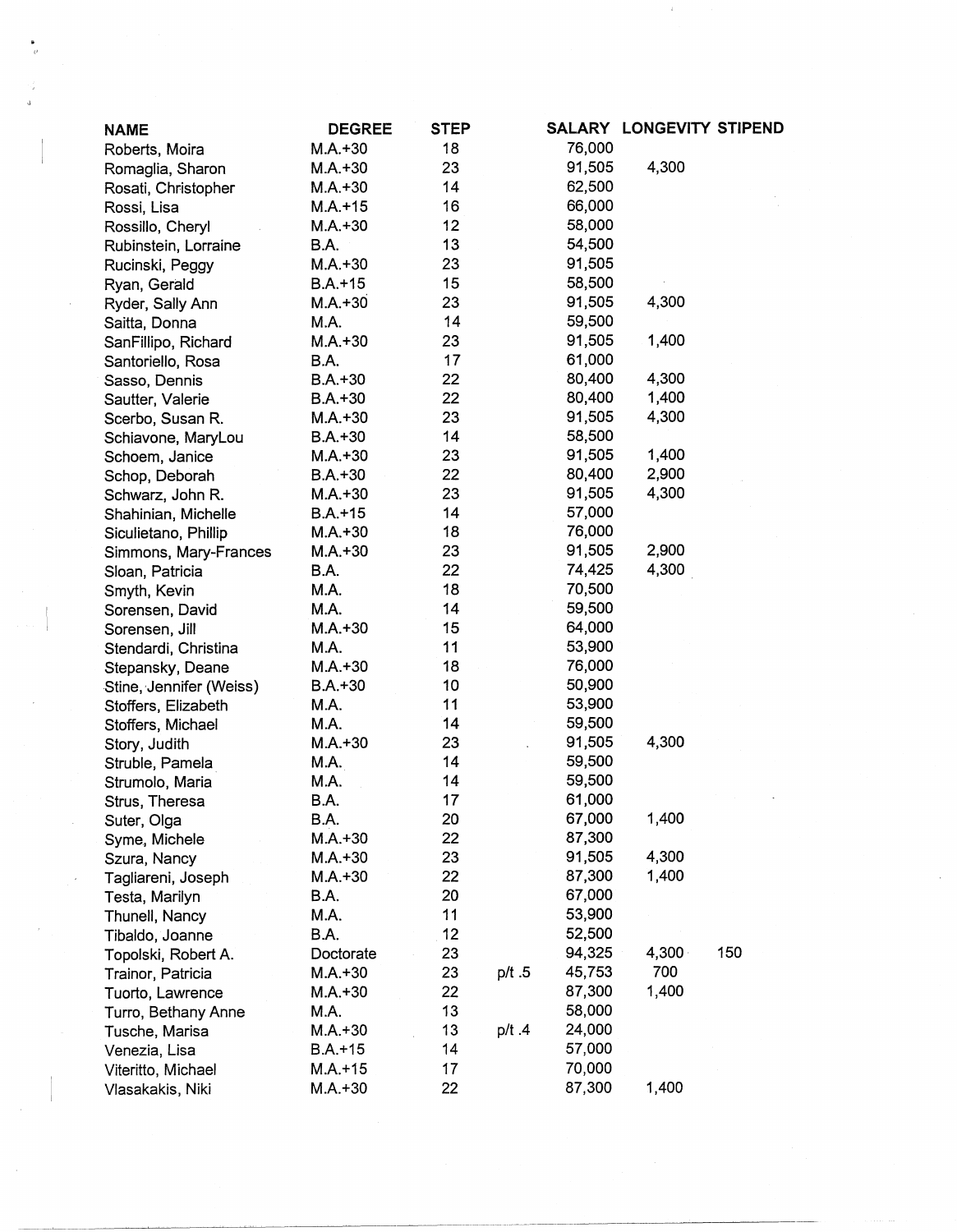| <b>NAME</b>             | <b>DEGREE</b> | <b>STEP</b> |        |        | SALARY LONGEVITY STIPEND |     |
|-------------------------|---------------|-------------|--------|--------|--------------------------|-----|
| Roberts, Moira          | $M.A.+30$     | 18          |        | 76,000 |                          |     |
| Romaglia, Sharon        | $M.A.+30$     | 23          |        | 91,505 | 4,300                    |     |
| Rosati, Christopher     | $M.A.+30$     | 14          |        | 62,500 |                          |     |
| Rossi, Lisa             | $M.A.+15$     | 16          |        | 66,000 |                          |     |
| Rossillo, Cheryl        | $M.A. + 30$   | 12          |        | 58,000 |                          |     |
| Rubinstein, Lorraine    | B.A.          | 13          |        | 54,500 |                          |     |
| Rucinski, Peggy         | $M.A. + 30$   | 23          |        | 91,505 |                          |     |
| Ryan, Gerald            | $B.A.+15$     | 15          |        | 58,500 |                          |     |
| Ryder, Sally Ann        | $M.A.+30$     | 23          |        | 91,505 | 4,300                    |     |
| Saitta, Donna           | M.A.          | 14          |        | 59,500 |                          |     |
| SanFillipo, Richard     | $M.A.+30$     | 23          |        | 91,505 | 1,400                    |     |
| Santoriello, Rosa       | B.A.          | 17          |        | 61,000 |                          |     |
| Sasso, Dennis           | $B.A.+30$     | 22          |        | 80,400 | 4,300                    |     |
| Sautter, Valerie        | $B.A.+30$     | 22          |        | 80,400 | 1,400                    |     |
| Scerbo, Susan R.        | $M.A.+30$     | 23          |        | 91,505 | 4,300                    |     |
| Schiavone, MaryLou      | $B.A.+30$     | 14          |        | 58,500 |                          |     |
| Schoem, Janice          | $M.A. + 30$   | 23          |        | 91,505 | 1,400                    |     |
| Schop, Deborah          | $B.A.+30$     | 22          |        | 80,400 | 2,900                    |     |
| Schwarz, John R.        | $M.A.+30$     | 23          |        | 91,505 | 4,300                    |     |
| Shahinian, Michelle     | $B.A.+15$     | 14          |        | 57,000 |                          |     |
| Siculietano, Phillip    | $M.A.+30$     | 18          |        | 76,000 |                          |     |
| Simmons, Mary-Frances   | $M.A.+30$     | 23          |        | 91,505 | 2,900                    |     |
| Sloan, Patricia         | B.A.          | 22          |        | 74,425 | 4,300                    |     |
| Smyth, Kevin            | M.A.          | 18          |        | 70,500 |                          |     |
| Sorensen, David         | M.A.          | 14          |        | 59,500 |                          |     |
| Sorensen, Jill          | $M.A.+30$     | 15          |        | 64,000 |                          |     |
| Stendardi, Christina    | M.A.          | 11          |        | 53,900 |                          |     |
| Stepansky, Deane        | $M.A.+30$     | 18          |        | 76,000 |                          |     |
| Stine, Jennifer (Weiss) | $B.A.+30$     | 10          |        | 50,900 |                          |     |
| Stoffers, Elizabeth     | M.A.          | 11          |        | 53,900 |                          |     |
| Stoffers, Michael       | M.A.          | 14          |        | 59,500 |                          |     |
| Story, Judith           | $M.A.+30$     | 23          |        | 91,505 | 4,300                    |     |
| Struble, Pamela         | M.A.          | 14          |        | 59,500 |                          |     |
| Strumolo, Maria         | M.A.          | 14          |        | 59,500 |                          |     |
| Strus, Theresa          | B.A.          | 17          |        | 61,000 |                          |     |
| Suter, Olga             | B.A.          | 20          |        | 67,000 | 1,400                    |     |
| Syme, Michele           | $M.A.+30$     | 22          |        | 87,300 |                          |     |
| Szura, Nancy            | $M.A.+30$     | 23          |        | 91,505 | 4,300                    |     |
| Tagliareni, Joseph      | $M.A.+30$     | 22          |        | 87,300 | 1,400                    |     |
| Testa, Marilyn          | <b>B.A.</b>   | 20          |        | 67,000 |                          |     |
| Thunell, Nancy          | M.A.          | 11          |        | 53,900 |                          |     |
| Tibaldo, Joanne         | B.A.          | 12          |        | 52,500 |                          |     |
| Topolski, Robert A.     | Doctorate     | 23          |        | 94,325 | 4,300                    | 150 |
| Trainor, Patricia       | $M.A.+30$     | 23          | p/t .5 | 45,753 | 700                      |     |
| Tuorto, Lawrence        | $M.A.+30$     | 22          |        | 87,300 | 1,400                    |     |
| Turro, Bethany Anne     | M.A.          | 13          |        | 58,000 |                          |     |
| Tusche, Marisa          | $M.A.+30$     | 13          | p/t .4 | 24,000 |                          |     |
| Venezia, Lisa           | $B.A.+15$     | 14          |        | 57,000 |                          |     |
| Viteritto, Michael      | $M.A.+15$     | 17          |        | 70,000 |                          |     |
| Vlasakakis, Niki        | $M.A.+30$     | 22          |        | 87,300 | 1,400                    |     |
|                         |               |             |        |        |                          |     |

 $\ddot{\bullet}$ 

 $\sim$ 

 $\hat{\mathcal{A}}$ 

 $\sim 4$